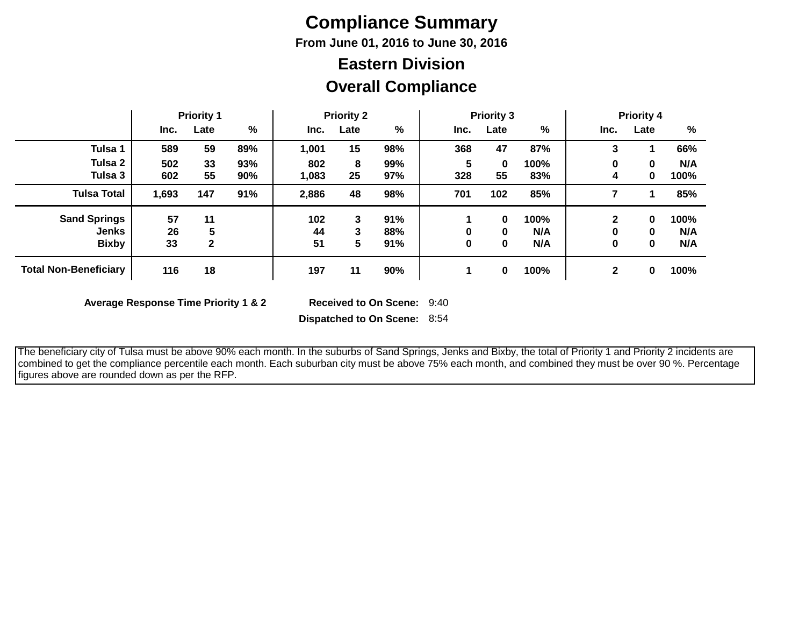# **Compliance Summary**

**From June 01, 2016 to June 30, 2016**

## **Overall Compliance Eastern Division**

|                              | <b>Priority 1</b> |      |     | <b>Priority 2</b> |      |               | <b>Priority 3</b> |      |      | <b>Priority 4</b> |          |      |
|------------------------------|-------------------|------|-----|-------------------|------|---------------|-------------------|------|------|-------------------|----------|------|
|                              | Inc.              | Late | %   | Inc.              | Late | $\frac{0}{0}$ | Inc.              | Late | %    | Inc.              | Late     | %    |
| Tulsa 1                      | 589               | 59   | 89% | 1,001             | 15   | 98%           | 368               | 47   | 87%  | 3                 |          | 66%  |
| Tulsa 2                      | 502               | 33   | 93% | 802               | 8    | 99%           | 5                 | 0    | 100% | 0                 | 0        | N/A  |
| Tulsa 3                      | 602               | 55   | 90% | 1,083             | 25   | 97%           | 328               | 55   | 83%  | 4                 | 0        | 100% |
| <b>Tulsa Total</b>           | 1,693             | 147  | 91% | 2,886             | 48   | 98%           | 701               | 102  | 85%  |                   |          | 85%  |
| <b>Sand Springs</b>          | 57                | 11   |     | 102               | 3    | 91%           |                   | 0    | 100% | 2                 | $\bf{0}$ | 100% |
| <b>Jenks</b>                 | 26                | 5    |     | 44                | 3    | 88%           | 0                 | 0    | N/A  | 0                 | 0        | N/A  |
| <b>Bixby</b>                 | 33                | 2    |     | 51                | 5    | 91%           | 0                 | 0    | N/A  | 0                 | 0        | N/A  |
| <b>Total Non-Beneficiary</b> | 116               | 18   |     | 197               | 11   | 90%           |                   | 0    | 100% | 2                 | 0        | 100% |

**Average Response Time Priority 1 & 2** 

Received to On Scene: 9:40

**Dispatched to On Scene:** 8:54

 The beneficiary city of Tulsa must be above 90% each month. In the suburbs of Sand Springs, Jenks and Bixby, the total of Priority 1 and Priority 2 incidents are combined to get the compliance percentile each month. Each suburban city must be above 75% each month, and combined they must be over 90 %. Percentage figures above are rounded down as per the RFP.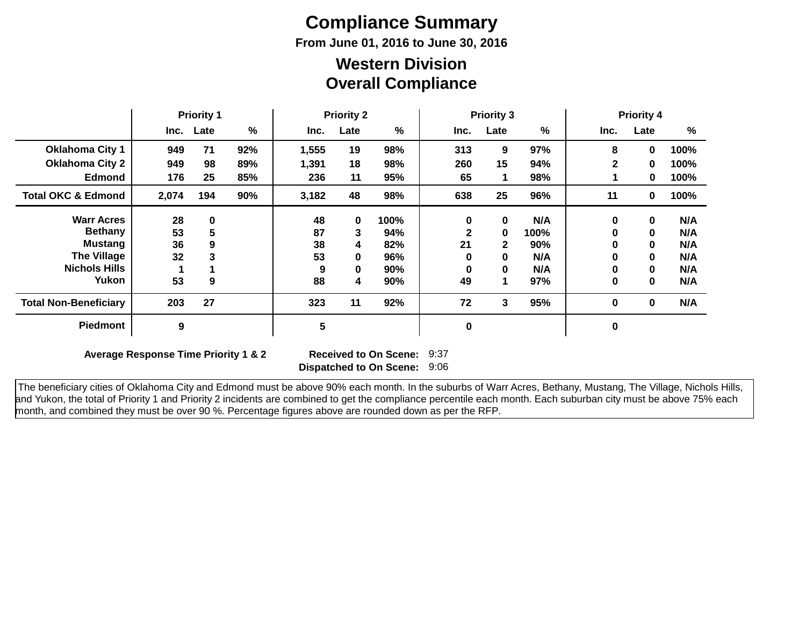# **Compliance Summary**

**From June 01, 2016 to June 30, 2016**

### **Overall Compliance Western Division**

|                               | <b>Priority 1</b> |          | <b>Priority 2</b> |       |             | <b>Priority 3</b> |             |          | <b>Priority 4</b> |              |              |      |
|-------------------------------|-------------------|----------|-------------------|-------|-------------|-------------------|-------------|----------|-------------------|--------------|--------------|------|
|                               | Inc.              | Late     | %                 | Inc.  | Late        | %                 | Inc.        | Late     | %                 | Inc.         | Late         | %    |
| <b>Oklahoma City 1</b>        | 949               | 71       | 92%               | 1,555 | 19          | 98%               | 313         | 9        | 97%               | 8            | 0            | 100% |
| <b>Oklahoma City 2</b>        | 949               | 98       | 89%               | 1,391 | 18          | 98%               | 260         | 15       | 94%               | $\mathbf{2}$ | 0            | 100% |
| <b>Edmond</b>                 | 176               | 25       | 85%               | 236   | 11          | 95%               | 65          |          | 98%               |              | 0            | 100% |
| <b>Total OKC &amp; Edmond</b> | 2,074             | 194      | 90%               | 3,182 | 48          | 98%               | 638         | 25       | 96%               | 11           | 0            | 100% |
| <b>Warr Acres</b>             | 28                | $\bf{0}$ |                   | 48    | $\mathbf 0$ | 100%              | $\bf{0}$    | $\bf{0}$ | N/A               | 0            | $\mathbf 0$  | N/A  |
| <b>Bethany</b>                | 53                | 5        |                   | 87    | 3           | 94%               |             | 0        | 100%              | 0            | $\mathbf 0$  | N/A  |
| <b>Mustang</b>                | 36                | 9        |                   | 38    | 4           | 82%               | 21          | 2        | 90%               | 0            | $\mathbf 0$  | N/A  |
| <b>The Village</b>            | 32                | 3        |                   | 53    | $\mathbf 0$ | 96%               | O           | 0        | N/A               | 0            | $\mathbf 0$  | N/A  |
| <b>Nichols Hills</b>          |                   |          |                   | 9     | 0           | 90%               | 0           | 0        | N/A               | 0            | $\mathbf{0}$ | N/A  |
| Yukon                         | 53                | 9        |                   | 88    | 4           | 90%               | 49          | 1        | 97%               | 0            | $\mathbf{0}$ | N/A  |
| <b>Total Non-Beneficiary</b>  | 203               | 27       |                   | 323   | 11          | 92%               | 72          | 3        | 95%               | 0            | $\mathbf 0$  | N/A  |
| <b>Piedmont</b>               | 9                 |          |                   | 5     |             |                   | $\mathbf 0$ |          |                   | 0            |              |      |

**Average Response Time Priority 1 & 2** 

**Dispatched to On Scene:** 9:06 Received to On Scene: 9:37

 The beneficiary cities of Oklahoma City and Edmond must be above 90% each month. In the suburbs of Warr Acres, Bethany, Mustang, The Village, Nichols Hills, and Yukon, the total of Priority 1 and Priority 2 incidents are combined to get the compliance percentile each month. Each suburban city must be above 75% each month, and combined they must be over 90 %. Percentage figures above are rounded down as per the RFP.